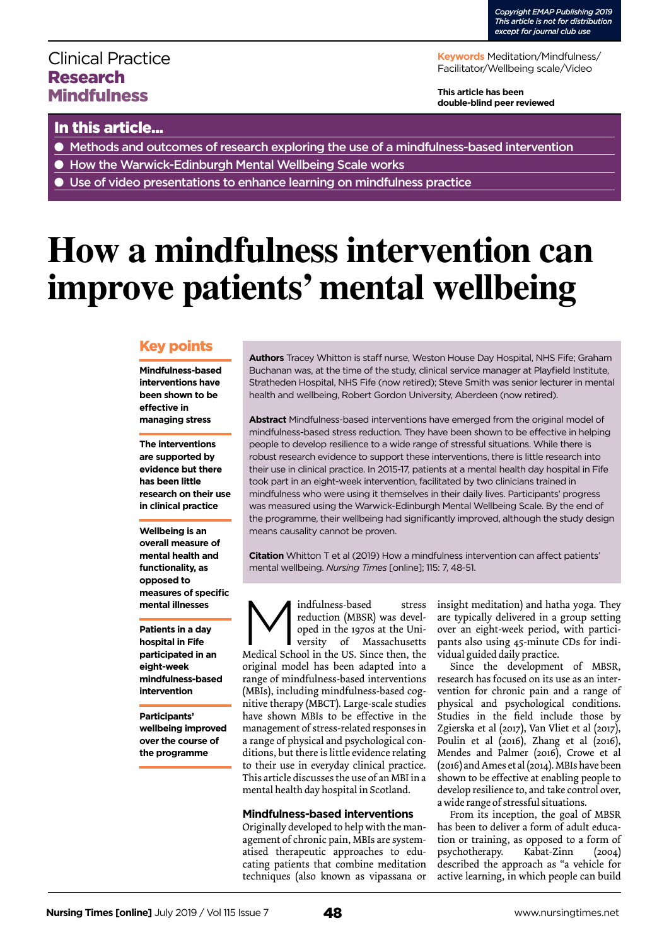# Clinical Practice Research **Mindfulness**

**Keywords** Meditation/Mindfulness/ Facilitator/Wellbeing scale/Video

**This article has been double-blind peer reviewed**

### In this article...

- Methods and outcomes of research exploring the use of a mindfulness-based intervention
- How the Warwick-Edinburgh Mental Wellbeing Scale works
- Use of video presentations to enhance learning on mindfulness practice

# **How a mindfulness intervention can improve patients' mental wellbeing**

### Key points

**Mindfulness-based interventions have been shown to be effective in managing stress** 

**The interventions are supported by evidence but there has been little research on their use in clinical practice** 

**Wellbeing is an overall measure of mental health and functionality, as opposed to measures of specific mental illnesses** 

**Patients in a day hospital in Fife participated in an eight-week mindfulness-based intervention**

**Participants' wellbeing improved over the course of the programme**

**Authors** Tracey Whitton is staff nurse, Weston House Day Hospital, NHS Fife; Graham Buchanan was, at the time of the study, clinical service manager at Playfield Institute, Stratheden Hospital, NHS Fife (now retired); Steve Smith was senior lecturer in mental health and wellbeing, Robert Gordon University, Aberdeen (now retired).

**Abstract** Mindfulness-based interventions have emerged from the original model of mindfulness-based stress reduction. They have been shown to be effective in helping people to develop resilience to a wide range of stressful situations. While there is robust research evidence to support these interventions, there is little research into their use in clinical practice. In 2015-17, patients at a mental health day hospital in Fife took part in an eight-week intervention, facilitated by two clinicians trained in mindfulness who were using it themselves in their daily lives. Participants' progress was measured using the Warwick-Edinburgh Mental Wellbeing Scale. By the end of the programme, their wellbeing had significantly improved, although the study design means causality cannot be proven.

**Citation** Whitton T et al (2019) How a mindfulness intervention can affect patients' mental wellbeing. *Nursing Times* [online]; 115: 7, 48-51.

Indfulness-based stress<br>reduction (MBSR) was devel-<br>oped in the 1970s at the Uni-<br>versity of Massachusetts<br>Medical School in the US. Since then, the reduction (MBSR) was developed in the 1970s at the University of Massachusetts Medical School in the US. Since then, the original model has been adapted into a range of mindfulness-based interventions (MBIs), including mindfulness-based cognitive therapy (MBCT). Large-scale studies have shown MBIs to be effective in the management of stress-related responses in a range of physical and psychological conditions, but there is little evidence relating to their use in everyday clinical practice. This article discusses the use of an MBI in a mental health day hospital in Scotland.

### **Mindfulness-based interventions**

Originally developed to help with the management of chronic pain, MBIs are systematised therapeutic approaches to educating patients that combine meditation techniques (also known as vipassana or insight meditation) and hatha yoga. They are typically delivered in a group setting over an eight-week period, with participants also using 45-minute CDs for individual guided daily practice.

Since the development of MBSR, research has focused on its use as an intervention for chronic pain and a range of physical and psychological conditions. Studies in the field include those by Zgierska et al (2017), Van Vliet et al (2017), Poulin et al (2016), Zhang et al (2016), Mendes and Palmer (2016), Crowe et al (2016) and Ames et al (2014). MBIs have been shown to be effective at enabling people to develop resilience to, and take control over, a wide range of stressful situations.

From its inception, the goal of MBSR has been to deliver a form of adult education or training, as opposed to a form of psychotherapy. Kabat-Zinn (2004) described the approach as "a vehicle for active learning, in which people can build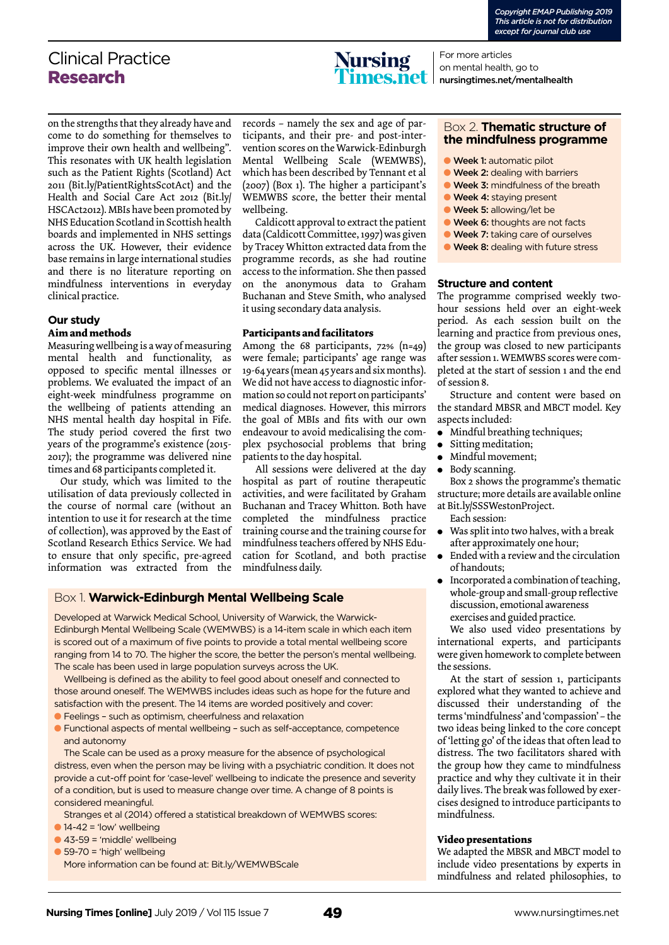# Clinical Practice Research



For more articles on mental health, go to nursingtimes.net/mentalhealth

on the strengths that they already have and come to do something for themselves to improve their own health and wellbeing". This resonates with UK health legislation such as the Patient Rights (Scotland) Act 2011 (Bit.ly/PatientRightsScotAct) and the Health and Social Care Act 2012 (Bit.ly/ HSCAct2012). MBIs have been promoted by NHS Education Scotland in Scottish health boards and implemented in NHS settings across the UK. However, their evidence base remains in large international studies and there is no literature reporting on mindfulness interventions in everyday clinical practice.

### **Our study**

#### **Aim and methods**

Measuring wellbeing is a way of measuring mental health and functionality, as opposed to specific mental illnesses or problems. We evaluated the impact of an eight-week mindfulness programme on the wellbeing of patients attending an NHS mental health day hospital in Fife. The study period covered the first two years of the programme's existence (2015-2017); the programme was delivered nine times and 68 participants completed it.

Our study, which was limited to the utilisation of data previously collected in the course of normal care (without an intention to use it for research at the time of collection), was approved by the East of Scotland Research Ethics Service. We had to ensure that only specific, pre-agreed information was extracted from the

records – namely the sex and age of participants, and their pre- and post-intervention scores on the Warwick-Edinburgh Mental Wellbeing Scale (WEMWBS), which has been described by Tennant et al (2007) (Box 1). The higher a participant's WEMWBS score, the better their mental wellbeing.

Caldicott approval to extract the patient data (Caldicott Committee, 1997) was given by Tracey Whitton extracted data from the programme records, as she had routine access to the information. She then passed on the anonymous data to Graham Buchanan and Steve Smith, who analysed it using secondary data analysis.

### **Participants and facilitators**

Among the 68 participants, 72% (n=49) were female; participants' age range was 19-64 years (mean 45 years and six months). We did not have access to diagnostic information so could not report on participants' medical diagnoses. However, this mirrors the goal of MBIs and fits with our own endeavour to avoid medicalising the complex psychosocial problems that bring patients to the day hospital.

All sessions were delivered at the day hospital as part of routine therapeutic activities, and were facilitated by Graham Buchanan and Tracey Whitton. Both have completed the mindfulness practice training course and the training course for mindfulness teachers offered by NHS Education for Scotland, and both practise mindfulness daily.

### Box 1. **Warwick-Edinburgh Mental Wellbeing Scale**

Developed at Warwick Medical School, University of Warwick, the Warwick-Edinburgh Mental Wellbeing Scale (WEMWBS) is a 14-item scale in which each item is scored out of a maximum of five points to provide a total mental wellbeing score ranging from 14 to 70. The higher the score, the better the person's mental wellbeing. The scale has been used in large population surveys across the UK.

Wellbeing is defined as the ability to feel good about oneself and connected to those around oneself. The WEMWBS includes ideas such as hope for the future and satisfaction with the present. The 14 items are worded positively and cover:

- l Feelings such as optimism, cheerfulness and relaxation
- l Functional aspects of mental wellbeing such as self-acceptance, competence and autonomy

The Scale can be used as a proxy measure for the absence of psychological distress, even when the person may be living with a psychiatric condition. It does not provide a cut-off point for 'case-level' wellbeing to indicate the presence and severity of a condition, but is used to measure change over time. A change of 8 points is considered meaningful.

Stranges et al (2014) offered a statistical breakdown of WEMWBS scores:

- $\bigcirc$  14-42 = 'low' wellbeing
- $\bullet$  43-59 = 'middle' wellbeing
- $\bullet$  59-70 = 'high' wellbeing

More information can be found at: Bit.ly/WEMWBScale

### Box 2. **Thematic structure of the mindfulness programme**

- **Week 1: automatic pilot**
- **Week 2: dealing with barriers**
- **Week 3: mindfulness of the breath**
- **Week 4: staying present**
- **Week 5: allowing/let be**
- **Week 6:** thoughts are not facts
- **Week 7: taking care of ourselves**
- **Week 8: dealing with future stress**

### **Structure and content**

The programme comprised weekly twohour sessions held over an eight-week period. As each session built on the learning and practice from previous ones, the group was closed to new participants after session 1. WEMWBS scores were completed at the start of session 1 and the end of session 8.

Structure and content were based on the standard MBSR and MBCT model. Key aspects included:

- $\bullet$  Mindful breathing techniques;
- Sitting meditation;
- <sup>l</sup> Mindful movement;
- <sup>l</sup> Body scanning.

Box 2 shows the programme's thematic structure; more details are available online at Bit.ly/SSSWestonProject.

- Each session:
- Was split into two halves, with a break after approximately one hour;
- Ended with a review and the circulation of handouts;
- $\bullet$  Incorporated a combination of teaching, whole-group and small-group reflective discussion, emotional awareness exercises and guided practice.

We also used video presentations by international experts, and participants were given homework to complete between the sessions.

At the start of session 1, participants explored what they wanted to achieve and discussed their understanding of the terms 'mindfulness' and 'compassion' – the two ideas being linked to the core concept of 'letting go' of the ideas that often lead to distress. The two facilitators shared with the group how they came to mindfulness practice and why they cultivate it in their daily lives. The break was followed by exercises designed to introduce participants to mindfulness.

#### **Video presentations**

We adapted the MBSR and MBCT model to include video presentations by experts in mindfulness and related philosophies, to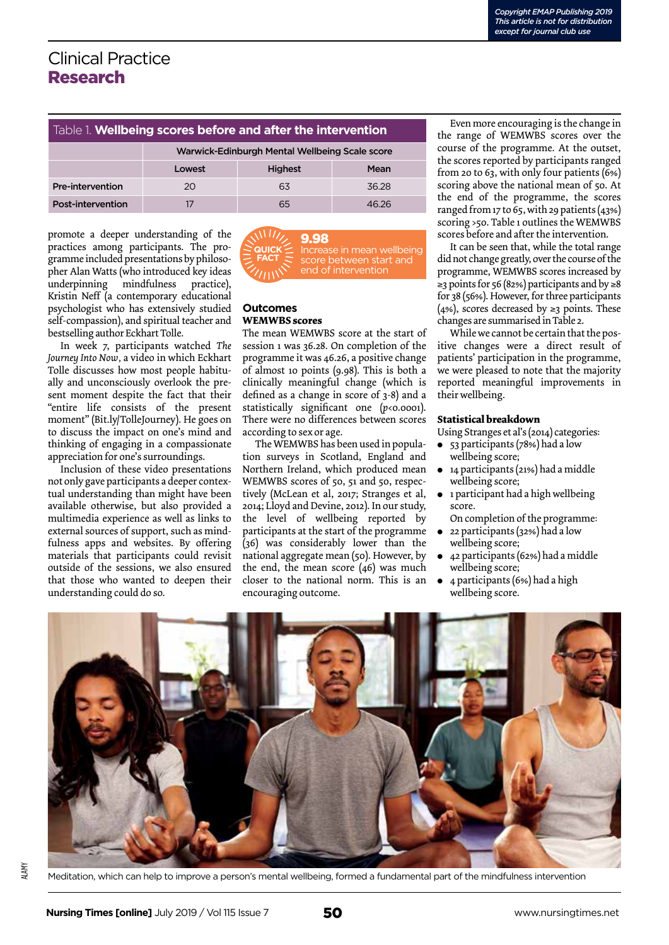# Clinical Practice Research

### Table 1. **Wellbeing scores before and after the intervention**

|                         | Warwick-Edinburgh Mental Wellbeing Scale score |                |       |  |
|-------------------------|------------------------------------------------|----------------|-------|--|
|                         | Lowest                                         | <b>Highest</b> | Mean  |  |
| <b>Pre-intervention</b> | 20                                             | 63             | 36.28 |  |
| Post-intervention       |                                                | 65             | 46 26 |  |

promote a deeper understanding of the practices among participants. The programme included presentations by philosopher Alan Watts (who introduced key ideas underpinning mindfulness practice), Kristin Neff (a contemporary educational psychologist who has extensively studied self-compassion), and spiritual teacher and bestselling author Eckhart Tolle.

In week 7, participants watched *The Journey Into Now,* a video in which Eckhart Tolle discusses how most people habitually and unconsciously overlook the present moment despite the fact that their "entire life consists of the present moment" (Bit.ly/TolleJourney). He goes on to discuss the impact on one's mind and thinking of engaging in a compassionate appreciation for one's surroundings.

Inclusion of these video presentations not only gave participants a deeper contextual understanding than might have been available otherwise, but also provided a multimedia experience as well as links to external sources of support, such as mindfulness apps and websites. By offering materials that participants could revisit outside of the sessions, we also ensured that those who wanted to deepen their understanding could do so.



#### **Outcomes WEMWBS scores**

The mean WEMWBS score at the start of session 1 was 36.28. On completion of the programme it was 46.26, a positive change of almost 10 points (9.98). This is both a clinically meaningful change (which is defined as a change in score of 3-8) and a statistically significant one ( $p$ <0.0001). There were no differences between scores according to sex or age.

The WEMWBS has been used in population surveys in Scotland, England and Northern Ireland, which produced mean WEMWBS scores of 50, 51 and 50, respectively (McLean et al, 2017; Stranges et al, 2014; Lloyd and Devine, 2012). In our study, the level of wellbeing reported by participants at the start of the programme (36) was considerably lower than the national aggregate mean (50). However, by the end, the mean score (46) was much closer to the national norm. This is an encouraging outcome.

Even more encouraging is the change in the range of WEMWBS scores over the course of the programme. At the outset, the scores reported by participants ranged from 20 to 63, with only four patients (6%) scoring above the national mean of 50. At the end of the programme, the scores ranged from 17 to  $65$ , with 29 patients (43%) scoring >50. Table 1 outlines the WEMWBS scores before and after the intervention.

It can be seen that, while the total range did not change greatly, over the course of the programme, WEMWBS scores increased by ≥3 points for 56 (82%) participants and by ≥8 for 38 (56%). However, for three participants (4%), scores decreased by  $\geq$ 3 points. These changes are summarised in Table 2.

While we cannot be certain that the positive changes were a direct result of patients' participation in the programme, we were pleased to note that the majority reported meaningful improvements in their wellbeing.

### **Statistical breakdown**

Using Stranges et al's (2014) categories:

- 53 participants (78%) had a low wellbeing score;
- 14 participants (21%) had a middle wellbeing score;
- 1 participant had a high wellbeing score.
- On completion of the programme:
- <sup>l</sup> 22 participants (32%) had a low wellbeing score;
- <sup>l</sup> 42 participants (62%) had a middle wellbeing score;
- $\bullet$  4 participants (6%) had a high wellbeing score.



Meditation, which can help to improve a person's mental wellbeing, formed a fundamental part of the mindfulness intervention